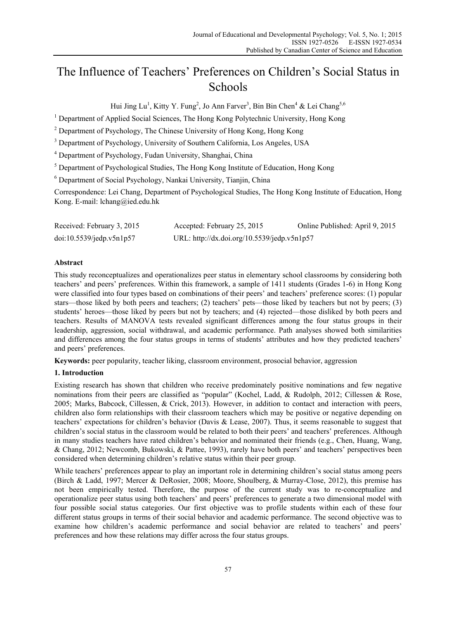# The Influence of Teachers' Preferences on Children's Social Status in Schools

Hui Jing Lu<sup>1</sup>, Kitty Y. Fung<sup>2</sup>, Jo Ann Farver<sup>3</sup>, Bin Bin Chen<sup>4</sup> & Lei Chang<sup>5,6</sup>

<sup>1</sup> Department of Applied Social Sciences, The Hong Kong Polytechnic University, Hong Kong

 $2^2$  Department of Psychology, The Chinese University of Hong Kong, Hong Kong

<sup>3</sup> Department of Psychology, University of Southern California, Los Angeles, USA

<sup>4</sup> Department of Psychology, Fudan University, Shanghai, China

<sup>5</sup> Department of Psychological Studies, The Hong Kong Institute of Education, Hong Kong

6 Department of Social Psychology, Nankai University, Tianjin, China

Correspondence: Lei Chang, Department of Psychological Studies, The Hong Kong Institute of Education, Hong Kong. E-mail: lchang@ied.edu.hk

| Received: February 3, 2015  | Accepted: February 25, 2015                 | Online Published: April 9, 2015 |
|-----------------------------|---------------------------------------------|---------------------------------|
| $doi:10.5539/j$ edp.v5n1p57 | URL: http://dx.doi.org/10.5539/jedp.v5n1p57 |                                 |

# **Abstract**

This study reconceptualizes and operationalizes peer status in elementary school classrooms by considering both teachers' and peers' preferences. Within this framework, a sample of 1411 students (Grades 1-6) in Hong Kong were classified into four types based on combinations of their peers' and teachers' preference scores: (1) popular stars—those liked by both peers and teachers; (2) teachers' pets—those liked by teachers but not by peers; (3) students' heroes—those liked by peers but not by teachers; and (4) rejected—those disliked by both peers and teachers. Results of MANOVA tests revealed significant differences among the four status groups in their leadership, aggression, social withdrawal, and academic performance. Path analyses showed both similarities and differences among the four status groups in terms of students' attributes and how they predicted teachers' and peers' preferences.

**Keywords:** peer popularity, teacher liking, classroom environment, prosocial behavior, aggression

## **1. Introduction**

Existing research has shown that children who receive predominately positive nominations and few negative nominations from their peers are classified as "popular" (Kochel, Ladd, & Rudolph, 2012; Cillessen & Rose, 2005; Marks, Babcock, Cillessen, & Crick, 2013). However, in addition to contact and interaction with peers, children also form relationships with their classroom teachers which may be positive or negative depending on teachers' expectations for children's behavior (Davis & Lease, 2007). Thus, it seems reasonable to suggest that children's social status in the classroom would be related to both their peers' and teachers' preferences. Although in many studies teachers have rated children's behavior and nominated their friends (e.g., Chen, Huang, Wang, & Chang, 2012; Newcomb, Bukowski, & Pattee, 1993), rarely have both peers' and teachers' perspectives been considered when determining children's relative status within their peer group.

While teachers' preferences appear to play an important role in determining children's social status among peers (Birch & Ladd, 1997; Mercer & DeRosier, 2008; Moore, Shoulberg, & Murray-Close, 2012), this premise has not been empirically tested. Therefore, the purpose of the current study was to re-conceptualize and operationalize peer status using both teachers' and peers' preferences to generate a two dimensional model with four possible social status categories. Our first objective was to profile students within each of these four different status groups in terms of their social behavior and academic performance. The second objective was to examine how children's academic performance and social behavior are related to teachers' and peers' preferences and how these relations may differ across the four status groups.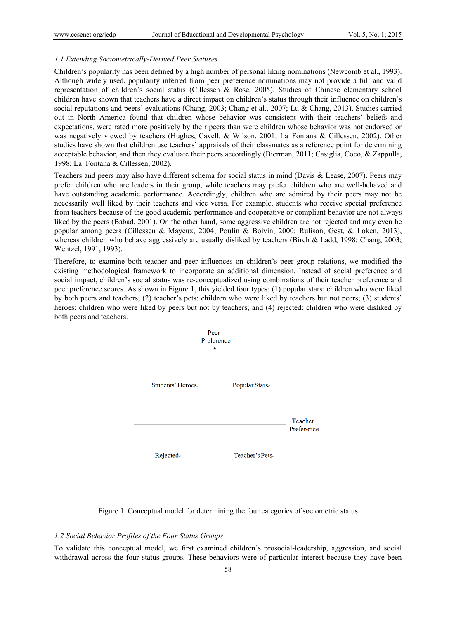## *1.1 Extending Sociometrically-Derived Peer Statuses*

Children's popularity has been defined by a high number of personal liking nominations (Newcomb et al., 1993). Although widely used, popularity inferred from peer preference nominations may not provide a full and valid representation of children's social status (Cillessen & Rose, 2005). Studies of Chinese elementary school children have shown that teachers have a direct impact on children's status through their influence on children's social reputations and peers' evaluations (Chang, 2003; Chang et al., 2007; Lu & Chang, 2013). Studies carried out in North America found that children whose behavior was consistent with their teachers' beliefs and expectations, were rated more positively by their peers than were children whose behavior was not endorsed or was negatively viewed by teachers (Hughes, Cavell, & Wilson, 2001; La Fontana & Cillessen, 2002). Other studies have shown that children use teachers' appraisals of their classmates as a reference point for determining acceptable behavior, and then they evaluate their peers accordingly (Bierman, 2011; Casiglia, Coco, & Zappulla, 1998; La Fontana & Cillessen, 2002).

Teachers and peers may also have different schema for social status in mind (Davis & Lease, 2007). Peers may prefer children who are leaders in their group, while teachers may prefer children who are well-behaved and have outstanding academic performance. Accordingly, children who are admired by their peers may not be necessarily well liked by their teachers and vice versa. For example, students who receive special preference from teachers because of the good academic performance and cooperative or compliant behavior are not always liked by the peers (Babad, 2001). On the other hand, some aggressive children are not rejected and may even be popular among peers (Cillessen & Mayeux, 2004; Poulin & Boivin, 2000; Rulison, Gest, & Loken, 2013), whereas children who behave aggressively are usually disliked by teachers (Birch & Ladd, 1998; Chang, 2003; Wentzel, 1991, 1993).

Therefore, to examine both teacher and peer influences on children's peer group relations, we modified the existing methodological framework to incorporate an additional dimension. Instead of social preference and social impact, children's social status was re-conceptualized using combinations of their teacher preference and peer preference scores. As shown in Figure 1, this yielded four types: (1) popular stars: children who were liked by both peers and teachers; (2) teacher's pets: children who were liked by teachers but not peers; (3) students' heroes: children who were liked by peers but not by teachers; and (4) rejected: children who were disliked by both peers and teachers.



Figure 1. Conceptual model for determining the four categories of sociometric status

# *1.2 Social Behavior Profiles of the Four Status Groups*

To validate this conceptual model, we first examined children's prosocial-leadership, aggression, and social withdrawal across the four status groups. These behaviors were of particular interest because they have been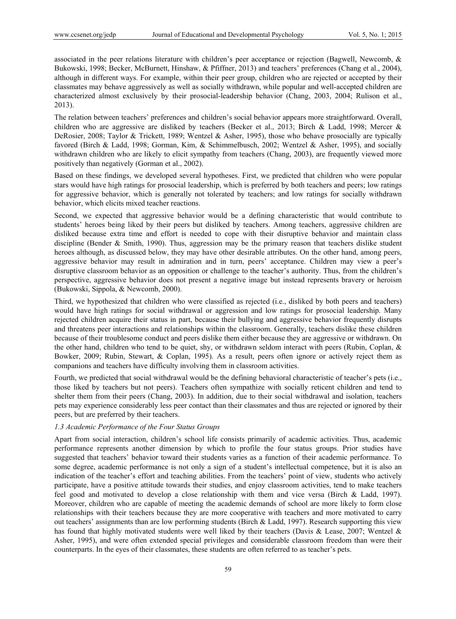associated in the peer relations literature with children's peer acceptance or rejection (Bagwell, Newcomb, & Bukowski, 1998; Becker, McBurnett, Hinshaw, & Pfiffner, 2013) and teachers' preferences (Chang et al., 2004), although in different ways. For example, within their peer group, children who are rejected or accepted by their classmates may behave aggressively as well as socially withdrawn, while popular and well-accepted children are characterized almost exclusively by their prosocial-leadership behavior (Chang, 2003, 2004; Rulison et al., 2013).

The relation between teachers' preferences and children's social behavior appears more straightforward. Overall, children who are aggressive are disliked by teachers (Becker et al., 2013; Birch & Ladd, 1998; Mercer & DeRosier, 2008; Taylor & Trickett, 1989; Wentzel & Asher, 1995), those who behave prosocially are typically favored (Birch & Ladd, 1998; Gorman, Kim, & Schimmelbusch, 2002; Wentzel & Asher, 1995), and socially withdrawn children who are likely to elicit sympathy from teachers (Chang, 2003), are frequently viewed more positively than negatively (Gorman et al., 2002).

Based on these findings, we developed several hypotheses. First, we predicted that children who were popular stars would have high ratings for prosocial leadership, which is preferred by both teachers and peers; low ratings for aggressive behavior, which is generally not tolerated by teachers; and low ratings for socially withdrawn behavior, which elicits mixed teacher reactions.

Second, we expected that aggressive behavior would be a defining characteristic that would contribute to students' heroes being liked by their peers but disliked by teachers. Among teachers, aggressive children are disliked because extra time and effort is needed to cope with their disruptive behavior and maintain class discipline (Bender & Smith, 1990). Thus, aggression may be the primary reason that teachers dislike student heroes although, as discussed below, they may have other desirable attributes. On the other hand, among peers, aggressive behavior may result in admiration and in turn, peers' acceptance. Children may view a peer's disruptive classroom behavior as an opposition or challenge to the teacher's authority. Thus, from the children's perspective, aggressive behavior does not present a negative image but instead represents bravery or heroism (Bukowski, Sippola, & Newcomb, 2000).

Third, we hypothesized that children who were classified as rejected (i.e., disliked by both peers and teachers) would have high ratings for social withdrawal or aggression and low ratings for prosocial leadership. Many rejected children acquire their status in part, because their bullying and aggressive behavior frequently disrupts and threatens peer interactions and relationships within the classroom. Generally, teachers dislike these children because of their troublesome conduct and peers dislike them either because they are aggressive or withdrawn. On the other hand, children who tend to be quiet, shy, or withdrawn seldom interact with peers (Rubin, Coplan, & Bowker, 2009; Rubin, Stewart, & Coplan, 1995). As a result, peers often ignore or actively reject them as companions and teachers have difficulty involving them in classroom activities.

Fourth, we predicted that social withdrawal would be the defining behavioral characteristic of teacher's pets (i.e., those liked by teachers but not peers). Teachers often sympathize with socially reticent children and tend to shelter them from their peers (Chang, 2003). In addition, due to their social withdrawal and isolation, teachers pets may experience considerably less peer contact than their classmates and thus are rejected or ignored by their peers, but are preferred by their teachers.

# *1.3 Academic Performance of the Four Status Groups*

Apart from social interaction, children's school life consists primarily of academic activities. Thus, academic performance represents another dimension by which to profile the four status groups. Prior studies have suggested that teachers' behavior toward their students varies as a function of their academic performance. To some degree, academic performance is not only a sign of a student's intellectual competence, but it is also an indication of the teacher's effort and teaching abilities. From the teachers' point of view, students who actively participate, have a positive attitude towards their studies, and enjoy classroom activities, tend to make teachers feel good and motivated to develop a close relationship with them and vice versa (Birch & Ladd, 1997). Moreover, children who are capable of meeting the academic demands of school are more likely to form close relationships with their teachers because they are more cooperative with teachers and more motivated to carry out teachers' assignments than are low performing students (Birch & Ladd, 1997). Research supporting this view has found that highly motivated students were well liked by their teachers (Davis & Lease, 2007; Wentzel & Asher, 1995), and were often extended special privileges and considerable classroom freedom than were their counterparts. In the eyes of their classmates, these students are often referred to as teacher's pets.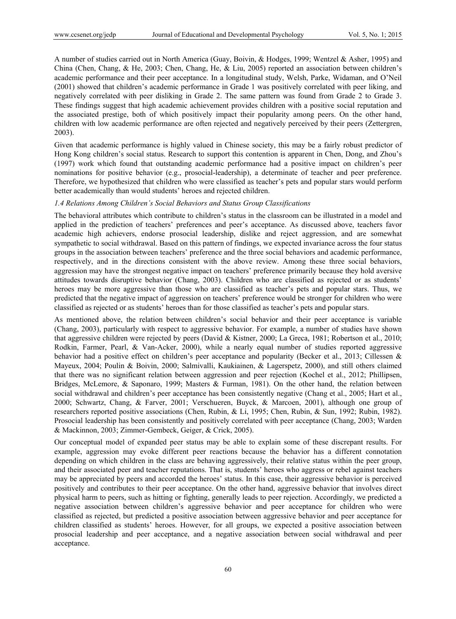A number of studies carried out in North America (Guay, Boivin, & Hodges, 1999; Wentzel & Asher, 1995) and China (Chen, Chang, & He, 2003; Chen, Chang, He, & Liu, 2005) reported an association between children's academic performance and their peer acceptance. In a longitudinal study, Welsh, Parke, Widaman, and O'Neil (2001) showed that children's academic performance in Grade 1 was positively correlated with peer liking, and negatively correlated with peer disliking in Grade 2. The same pattern was found from Grade 2 to Grade 3. These findings suggest that high academic achievement provides children with a positive social reputation and the associated prestige, both of which positively impact their popularity among peers. On the other hand, children with low academic performance are often rejected and negatively perceived by their peers (Zettergren, 2003).

Given that academic performance is highly valued in Chinese society, this may be a fairly robust predictor of Hong Kong children's social status. Research to support this contention is apparent in Chen, Dong, and Zhou's (1997) work which found that outstanding academic performance had a positive impact on children's peer nominations for positive behavior (e.g., prosocial-leadership), a determinate of teacher and peer preference. Therefore, we hypothesized that children who were classified as teacher's pets and popular stars would perform better academically than would students' heroes and rejected children.

#### *1.4 Relations Among Children's Social Behaviors and Status Group Classifications*

The behavioral attributes which contribute to children's status in the classroom can be illustrated in a model and applied in the prediction of teachers' preferences and peer's acceptance. As discussed above, teachers favor academic high achievers, endorse prosocial leadership, dislike and reject aggression, and are somewhat sympathetic to social withdrawal. Based on this pattern of findings, we expected invariance across the four status groups in the association between teachers' preference and the three social behaviors and academic performance, respectively, and in the directions consistent with the above review. Among these three social behaviors, aggression may have the strongest negative impact on teachers' preference primarily because they hold aversive attitudes towards disruptive behavior (Chang, 2003). Children who are classified as rejected or as students' heroes may be more aggressive than those who are classified as teacher's pets and popular stars. Thus, we predicted that the negative impact of aggression on teachers' preference would be stronger for children who were classified as rejected or as students' heroes than for those classified as teacher's pets and popular stars.

As mentioned above, the relation between children's social behavior and their peer acceptance is variable (Chang, 2003), particularly with respect to aggressive behavior. For example, a number of studies have shown that aggressive children were rejected by peers (David & Kistner, 2000; La Greca, 1981; Robertson et al., 2010; Rodkin, Farmer, Pearl, & Van-Acker, 2000), while a nearly equal number of studies reported aggressive behavior had a positive effect on children's peer acceptance and popularity (Becker et al., 2013; Cillessen & Mayeux, 2004; Poulin & Boivin, 2000; Salmivalli, Kaukiainen, & Lagerspetz, 2000), and still others claimed that there was no significant relation between aggression and peer rejection (Kochel et al., 2012; Phillipsen, Bridges, McLemore, & Saponaro, 1999; Masters & Furman, 1981). On the other hand, the relation between social withdrawal and children's peer acceptance has been consistently negative (Chang et al., 2005; Hart et al., 2000; Schwartz, Chang, & Farver, 2001; Verschueren, Buyck, & Marcoen, 2001), although one group of researchers reported positive associations (Chen, Rubin, & Li, 1995; Chen, Rubin, & Sun, 1992; Rubin, 1982). Prosocial leadership has been consistently and positively correlated with peer acceptance (Chang, 2003; Warden & Mackinnon, 2003; Zimmer-Gembeck, Geiger, & Crick, 2005).

Our conceptual model of expanded peer status may be able to explain some of these discrepant results. For example, aggression may evoke different peer reactions because the behavior has a different connotation depending on which children in the class are behaving aggressively, their relative status within the peer group, and their associated peer and teacher reputations. That is, students' heroes who aggress or rebel against teachers may be appreciated by peers and accorded the heroes' status. In this case, their aggressive behavior is perceived positively and contributes to their peer acceptance. On the other hand, aggressive behavior that involves direct physical harm to peers, such as hitting or fighting, generally leads to peer rejection. Accordingly, we predicted a negative association between children's aggressive behavior and peer acceptance for children who were classified as rejected, but predicted a positive association between aggressive behavior and peer acceptance for children classified as students' heroes. However, for all groups, we expected a positive association between prosocial leadership and peer acceptance, and a negative association between social withdrawal and peer acceptance.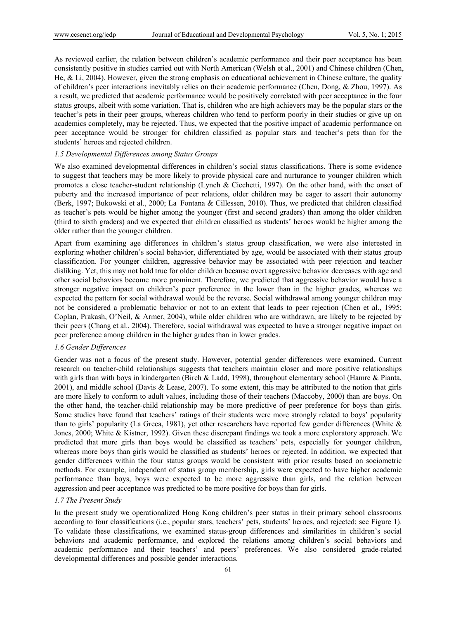As reviewed earlier, the relation between children's academic performance and their peer acceptance has been consistently positive in studies carried out with North American (Welsh et al., 2001) and Chinese children (Chen, He, & Li, 2004). However, given the strong emphasis on educational achievement in Chinese culture, the quality of children's peer interactions inevitably relies on their academic performance (Chen, Dong, & Zhou, 1997). As a result, we predicted that academic performance would be positively correlated with peer acceptance in the four status groups, albeit with some variation. That is, children who are high achievers may be the popular stars or the teacher's pets in their peer groups, whereas children who tend to perform poorly in their studies or give up on academics completely, may be rejected. Thus, we expected that the positive impact of academic performance on peer acceptance would be stronger for children classified as popular stars and teacher's pets than for the students' heroes and rejected children.

#### *1.5 Developmental Differences among Status Groups*

We also examined developmental differences in children's social status classifications. There is some evidence to suggest that teachers may be more likely to provide physical care and nurturance to younger children which promotes a close teacher-student relationship (Lynch & Cicchetti, 1997). On the other hand, with the onset of puberty and the increased importance of peer relations, older children may be eager to assert their autonomy (Berk, 1997; Bukowski et al., 2000; La Fontana & Cillessen, 2010). Thus, we predicted that children classified as teacher's pets would be higher among the younger (first and second graders) than among the older children (third to sixth graders) and we expected that children classified as students' heroes would be higher among the older rather than the younger children.

Apart from examining age differences in children's status group classification, we were also interested in exploring whether children's social behavior, differentiated by age, would be associated with their status group classification. For younger children, aggressive behavior may be associated with peer rejection and teacher disliking. Yet, this may not hold true for older children because overt aggressive behavior decreases with age and other social behaviors become more prominent. Therefore, we predicted that aggressive behavior would have a stronger negative impact on children's peer preference in the lower than in the higher grades, whereas we expected the pattern for social withdrawal would be the reverse. Social withdrawal among younger children may not be considered a problematic behavior or not to an extent that leads to peer rejection (Chen et al., 1995; Coplan, Prakash, O'Neil, & Armer, 2004), while older children who are withdrawn, are likely to be rejected by their peers (Chang et al., 2004). Therefore, social withdrawal was expected to have a stronger negative impact on peer preference among children in the higher grades than in lower grades.

## *1.6 Gender Differences*

Gender was not a focus of the present study. However, potential gender differences were examined. Current research on teacher-child relationships suggests that teachers maintain closer and more positive relationships with girls than with boys in kindergarten (Birch & Ladd, 1998), throughout elementary school (Hamre & Pianta, 2001), and middle school (Davis & Lease, 2007). To some extent, this may be attributed to the notion that girls are more likely to conform to adult values, including those of their teachers (Maccoby, 2000) than are boys. On the other hand, the teacher-child relationship may be more predictive of peer preference for boys than girls. Some studies have found that teachers' ratings of their students were more strongly related to boys' popularity than to girls' popularity (La Greca, 1981), yet other researchers have reported few gender differences (White & Jones, 2000; White & Kistner, 1992). Given these discrepant findings we took a more exploratory approach. We predicted that more girls than boys would be classified as teachers' pets, especially for younger children, whereas more boys than girls would be classified as students' heroes or rejected. In addition, we expected that gender differences within the four status groups would be consistent with prior results based on sociometric methods. For example, independent of status group membership, girls were expected to have higher academic performance than boys, boys were expected to be more aggressive than girls, and the relation between aggression and peer acceptance was predicted to be more positive for boys than for girls.

# *1.7 The Present Study*

In the present study we operationalized Hong Kong children's peer status in their primary school classrooms according to four classifications (i.e., popular stars, teachers' pets, students' heroes, and rejected; see Figure 1). To validate these classifications, we examined status-group differences and similarities in children's social behaviors and academic performance, and explored the relations among children's social behaviors and academic performance and their teachers' and peers' preferences. We also considered grade-related developmental differences and possible gender interactions.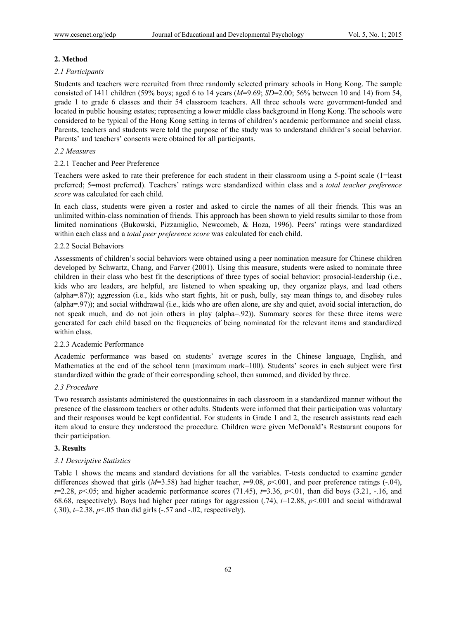#### **2. Method**

#### *2.1 Participants*

Students and teachers were recruited from three randomly selected primary schools in Hong Kong. The sample consisted of 1411 children (59% boys; aged 6 to 14 years (*M*=9.69; *SD*=2.00; 56% between 10 and 14) from 54, grade 1 to grade 6 classes and their 54 classroom teachers. All three schools were government-funded and located in public housing estates; representing a lower middle class background in Hong Kong. The schools were considered to be typical of the Hong Kong setting in terms of children's academic performance and social class. Parents, teachers and students were told the purpose of the study was to understand children's social behavior. Parents' and teachers' consents were obtained for all participants.

#### *2.2 Measures*

#### 2.2.1 Teacher and Peer Preference

Teachers were asked to rate their preference for each student in their classroom using a 5-point scale (1=least preferred; 5=most preferred). Teachers' ratings were standardized within class and a *total teacher preference score* was calculated for each child.

In each class, students were given a roster and asked to circle the names of all their friends. This was an unlimited within-class nomination of friends. This approach has been shown to yield results similar to those from limited nominations (Bukowski, Pizzamiglio, Newcomeb, & Hoza, 1996). Peers' ratings were standardized within each class and a *total peer preference score* was calculated for each child.

#### 2.2.2 Social Behaviors

Assessments of children's social behaviors were obtained using a peer nomination measure for Chinese children developed by Schwartz, Chang, and Farver (2001). Using this measure, students were asked to nominate three children in their class who best fit the descriptions of three types of social behavior: prosocial-leadership (i.e., kids who are leaders, are helpful, are listened to when speaking up, they organize plays, and lead others (alpha=.87)); aggression (i.e., kids who start fights, hit or push, bully, say mean things to, and disobey rules (alpha=.97)); and social withdrawal (i.e., kids who are often alone, are shy and quiet, avoid social interaction, do not speak much, and do not join others in play (alpha=.92)). Summary scores for these three items were generated for each child based on the frequencies of being nominated for the relevant items and standardized within class.

### 2.2.3 Academic Performance

Academic performance was based on students' average scores in the Chinese language, English, and Mathematics at the end of the school term (maximum mark=100). Students' scores in each subject were first standardized within the grade of their corresponding school, then summed, and divided by three.

#### *2.3 Procedure*

Two research assistants administered the questionnaires in each classroom in a standardized manner without the presence of the classroom teachers or other adults. Students were informed that their participation was voluntary and their responses would be kept confidential. For students in Grade 1 and 2, the research assistants read each item aloud to ensure they understood the procedure. Children were given McDonald's Restaurant coupons for their participation.

## **3. Results**

## *3.1 Descriptive Statistics*

Table 1 shows the means and standard deviations for all the variables. T-tests conducted to examine gender differences showed that girls ( $M=3.58$ ) had higher teacher,  $t=9.08$ ,  $p<0.01$ , and peer preference ratings (-.04), *t*=2.28, *p*<.05; and higher academic performance scores (71.45), *t*=3.36, *p*<.01, than did boys (3.21, -.16, and 68.68, respectively). Boys had higher peer ratings for aggression (.74), *t*=12.88, *p*<.001 and social withdrawal  $(0.30)$ ,  $t=2.38$ ,  $p<.05$  than did girls  $(-.57$  and  $-.02$ , respectively).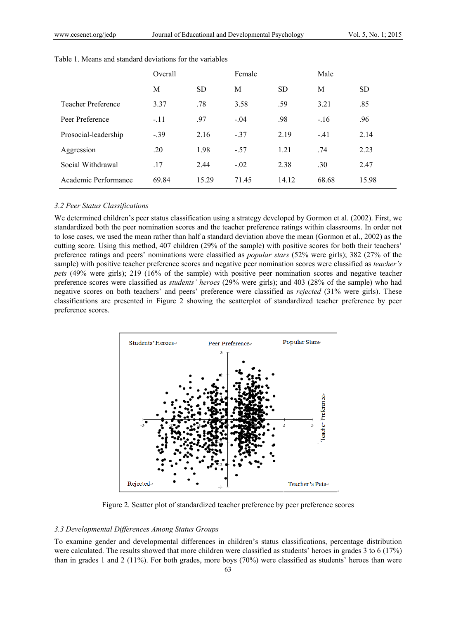|                           | Overall |       | Female |           | Male   |           |
|---------------------------|---------|-------|--------|-----------|--------|-----------|
|                           | M       | SD    | M      | <b>SD</b> | M      | <b>SD</b> |
| <b>Teacher Preference</b> | 3.37    | .78   | 3.58   | .59       | 3.21   | .85       |
| Peer Preference           | $-11$   | .97   | $-.04$ | .98       | $-.16$ | .96       |
| Prosocial-leadership      | $-.39$  | 2.16  | $-37$  | 2.19      | $-41$  | 2.14      |
| Aggression                | .20     | 1.98  | $-.57$ | 1.21      | .74    | 2.23      |
| Social Withdrawal         | .17     | 2.44  | $-.02$ | 2.38      | .30    | 2.47      |
| Academic Performance      | 69.84   | 15.29 | 71.45  | 14.12     | 68.68  | 15.98     |

Table 1. Means and standard deviations for the variables

## *3.2 Peer Status Classifications*

We determined children's peer status classification using a strategy developed by Gormon et al. (2002). First, we standardized both the peer nomination scores and the teacher preference ratings within classrooms. In order not to lose cases, we used the mean rather than half a standard deviation above the mean (Gormon et al., 2002) as the cutting score. Using this method, 407 children (29% of the sample) with positive scores for both their teachers' preference ratings and peers' nominations were classified as *popular stars* (52% were girls); 382 (27% of the sample) with positive teacher preference scores and negative peer nomination scores were classified as *teacher's pets* (49% were girls); 219 (16% of the sample) with positive peer nomination scores and negative teacher preference scores were classified as *students' heroes* (29% were girls); and 403 (28% of the sample) who had negative scores on both teachers' and peers' preference were classified as *rejected* (31% were girls). These classifications are presented in Figure 2 showing the scatterplot of standardized teacher preference by peer preference scores.



Figure 2. Scatter plot of standardized teacher preference by peer preference scores

## *3.3 Developmental Differences Among Status Groups*

To examine gender and developmental differences in children's status classifications, percentage distribution were calculated. The results showed that more children were classified as students' heroes in grades 3 to 6 (17%) than in grades 1 and 2 (11%). For both grades, more boys (70%) were classified as students' heroes than were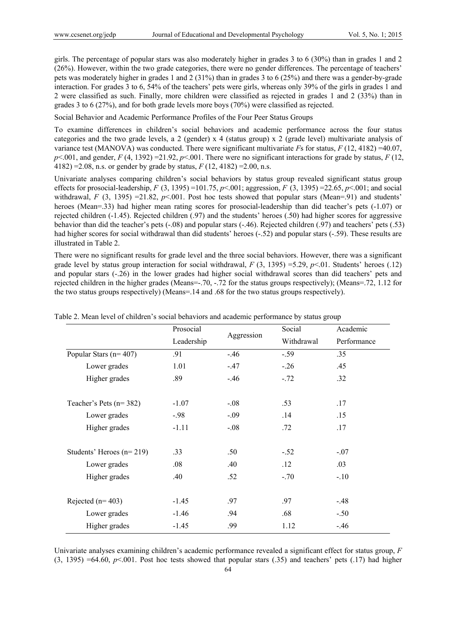girls. The percentage of popular stars was also moderately higher in grades 3 to 6 (30%) than in grades 1 and 2 (26%). However, within the two grade categories, there were no gender differences. The percentage of teachers' pets was moderately higher in grades 1 and 2 (31%) than in grades 3 to 6 (25%) and there was a gender-by-grade interaction. For grades 3 to 6, 54% of the teachers' pets were girls, whereas only 39% of the girls in grades 1 and 2 were classified as such. Finally, more children were classified as rejected in grades 1 and 2 (33%) than in grades 3 to 6 (27%), and for both grade levels more boys (70%) were classified as rejected.

Social Behavior and Academic Performance Profiles of the Four Peer Status Groups

To examine differences in children's social behaviors and academic performance across the four status categories and the two grade levels, a 2 (gender) x 4 (status group) x 2 (grade level) multivariate analysis of variance test (MANOVA) was conducted. There were significant multivariate *F*s for status, *F* (12, 4182) =40.07,  $p$ <.001, and gender, *F* (4, 1392) = 21.92,  $p$ <.001. There were no significant interactions for grade by status, *F* (12, 4182) =2.08, n.s. or gender by grade by status, *F* (12, 4182) =2.00, n.s.

Univariate analyses comparing children's social behaviors by status group revealed significant status group effects for prosocial-leadership, *F* (3, 1395) =101.75, *p*<.001; aggression, *F* (3, 1395) =22.65, *p*<.001; and social withdrawal, *F* (3, 1395) =21.82,  $p$ <.001. Post hoc tests showed that popular stars (Mean=.91) and students' heroes (Mean=.33) had higher mean rating scores for prosocial-leadership than did teacher's pets (-1.07) or rejected children (-1.45). Rejected children (.97) and the students' heroes (.50) had higher scores for aggressive behavior than did the teacher's pets (-.08) and popular stars (-.46). Rejected children (.97) and teachers' pets (.53) had higher scores for social withdrawal than did students' heroes (-.52) and popular stars (-.59). These results are illustrated in Table 2.

There were no significant results for grade level and the three social behaviors. However, there was a significant grade level by status group interaction for social withdrawal,  $F(3, 1395) = 5.29$ ,  $p \le 01$ . Students' heroes (.12) and popular stars (-.26) in the lower grades had higher social withdrawal scores than did teachers' pets and rejected children in the higher grades (Means=-.70, -.72 for the status groups respectively); (Means=.72, 1.12 for the two status groups respectively) (Means=.14 and .68 for the two status groups respectively).

|                            | Prosocial  | Aggression | Social     | Academic    |
|----------------------------|------------|------------|------------|-------------|
|                            | Leadership |            | Withdrawal | Performance |
| Popular Stars ( $n=407$ )  | .91        | $-46$      | $-.59$     | .35         |
| Lower grades               | 1.01       | $-.47$     | $-26$      | .45         |
| Higher grades              | .89        | $-46$      | $-.72$     | .32         |
|                            |            |            |            |             |
| Teacher's Pets $(n=382)$   | $-1.07$    | $-.08$     | .53        | .17         |
| Lower grades               | $-.98$     | $-0.09$    | .14        | .15         |
| Higher grades              | $-1.11$    | $-0.08$    | .72        | .17         |
| Students' Heroes $(n=219)$ | .33        | .50        | $-.52$     | $-.07$      |
| Lower grades               | .08        | .40        | .12        | .03         |
| Higher grades              | .40        | .52        | $-.70$     | $-.10$      |
| Rejected $(n=403)$         | $-1.45$    | .97        | .97        | $-48$       |
| Lower grades               | $-1.46$    | .94        | .68        | $-.50$      |
| Higher grades              | $-1.45$    | .99        | 1.12       | $-46$       |

Table 2. Mean level of children's social behaviors and academic performance by status group

Univariate analyses examining children's academic performance revealed a significant effect for status group, *F*   $(3, 1395)$  =64.60,  $p$ <.001. Post hoc tests showed that popular stars (.35) and teachers' pets (.17) had higher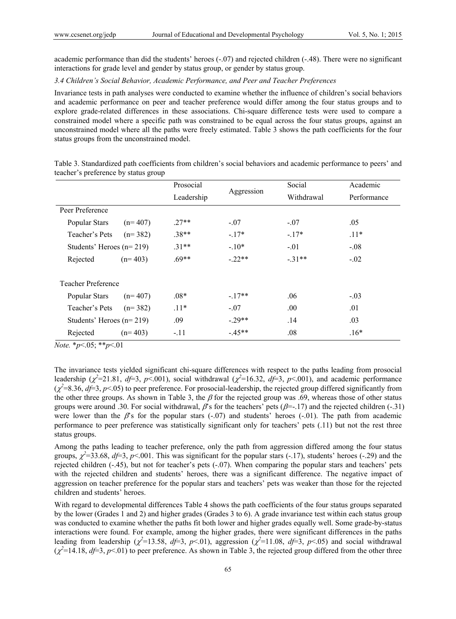academic performance than did the students' heroes (-.07) and rejected children (-.48). There were no significant interactions for grade level and gender by status group, or gender by status group.

# *3.4 Children's Social Behavior, Academic Performance, and Peer and Teacher Preferences*

Invariance tests in path analyses were conducted to examine whether the influence of children's social behaviors and academic performance on peer and teacher preference would differ among the four status groups and to explore grade-related differences in these associations. Chi-square difference tests were used to compare a constrained model where a specific path was constrained to be equal across the four status groups, against an unconstrained model where all the paths were freely estimated. Table 3 shows the path coefficients for the four status groups from the unconstrained model.

|                              |           | Prosocial  |            | Social     | Academic    |  |
|------------------------------|-----------|------------|------------|------------|-------------|--|
|                              |           | Leadership | Aggression | Withdrawal | Performance |  |
| Peer Preference              |           |            |            |            |             |  |
| Popular Stars                | $(n=407)$ | $.27**$    | $-.07$     | $-.07$     | .05         |  |
| Teacher's Pets               | $(n=382)$ | $.38**$    | $-17*$     | $-17*$     | $.11*$      |  |
| Students' Heroes ( $n=219$ ) |           | $31**$     | $-10*$     | $-.01$     | $-.08$      |  |
| Rejected                     | $(n=403)$ | $.69**$    | $-22**$    | $-31**$    | $-.02$      |  |
| <b>Teacher Preference</b>    |           |            |            |            |             |  |
| Popular Stars                | $(n=407)$ | $.08*$     | $-.17**$   | .06        | $-.03$      |  |
| Teacher's Pets               | $(n=382)$ | $.11*$     | $-.07$     | .00.       | .01         |  |
| Students' Heroes $(n=219)$   |           | .09        | $-29**$    | .14        | .03         |  |
| Rejected                     | $(n=403)$ | $-.11$     | $-45**$    | .08        | $.16*$      |  |

Table 3. Standardized path coefficients from children's social behaviors and academic performance to peers' and teacher's preference by status group

*Note.* \**p*<.05; \*\**p*<.01

The invariance tests yielded significant chi-square differences with respect to the paths leading from prosocial leadership  $(\chi^2=21.81, d\mathit{f}=3, p<.001)$ , social withdrawal  $(\chi^2=16.32, d\mathit{f}=3, p<.001)$ , and academic performance  $(\chi^2=8.36, d\neq 3, p<.05)$  to peer preference. For prosocial-leadership, the rejected group differed significantly from the other three groups. As shown in Table 3, the  $\beta$  for the rejected group was .69, whereas those of other status groups were around .30. For social withdrawal,  $\beta$ 's for the teachers' pets ( $\beta$ =-.17) and the rejected children (-.31) were lower than the  $\beta$ 's for the popular stars (-.07) and students' heroes (-.01). The path from academic performance to peer preference was statistically significant only for teachers' pets (.11) but not the rest three status groups.

Among the paths leading to teacher preference, only the path from aggression differed among the four status groups,  $\chi^2$ =33.68,  $df=3$ ,  $p$ <.001. This was significant for the popular stars (-.17), students' heroes (-.29) and the rejected children (-.45), but not for teacher's pets (-.07). When comparing the popular stars and teachers' pets with the rejected children and students' heroes, there was a significant difference. The negative impact of aggression on teacher preference for the popular stars and teachers' pets was weaker than those for the rejected children and students' heroes.

With regard to developmental differences Table 4 shows the path coefficients of the four status groups separated by the lower (Grades 1 and 2) and higher grades (Grades 3 to 6). A grade invariance test within each status group was conducted to examine whether the paths fit both lower and higher grades equally well. Some grade-by-status interactions were found. For example, among the higher grades, there were significant differences in the paths leading from leadership ( $\chi^2$ =13.58, *df*=3, *p*<.01), aggression ( $\chi^2$ =11.08, *df*=3, *p*<.05) and social withdrawal  $(\chi^2=14.18, d\neq 3, p<0.01)$  to peer preference. As shown in Table 3, the rejected group differed from the other three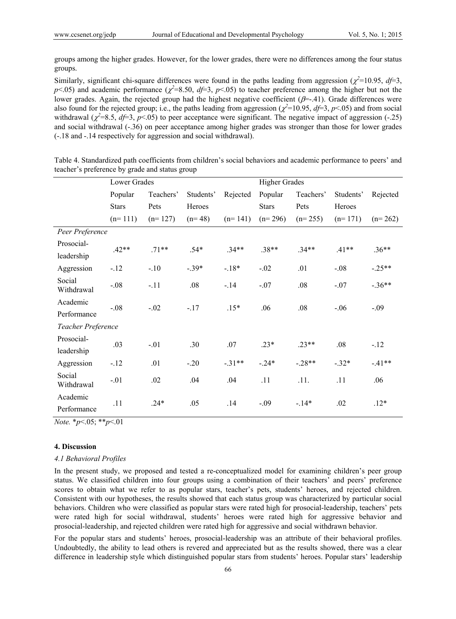groups among the higher grades. However, for the lower grades, there were no differences among the four status groups.

Similarly, significant chi-square differences were found in the paths leading from aggression  $(\chi^2=10.95, d\neq 3,$  $p$ <.05) and academic performance ( $\chi^2$ =8.50, *df*=3, *p*<.05) to teacher preference among the higher but not the lower grades. Again, the rejected group had the highest negative coefficient  $(\beta = -1.41)$ . Grade differences were also found for the rejected group; i.e., the paths leading from aggression ( $\chi^2$ =10.95, *d*f=3, *p*<.05) and from social withdrawal  $(\chi^2=8.5, df=3, p<.05)$  to peer acceptance were significant. The negative impact of aggression (-.25) and social withdrawal (-.36) on peer acceptance among higher grades was stronger than those for lower grades (-.18 and -.14 respectively for aggression and social withdrawal).

|                      | Lower Grades |           |           |           | <b>Higher Grades</b> |           |           |           |
|----------------------|--------------|-----------|-----------|-----------|----------------------|-----------|-----------|-----------|
|                      | Popular      | Teachers' | Students' | Rejected  | Popular              | Teachers' | Students' | Rejected  |
|                      | <b>Stars</b> | Pets      | Heroes    |           | <b>Stars</b>         | Pets      | Heroes    |           |
|                      | $(n=111)$    | $(n=127)$ | $(n=48)$  | $(n=141)$ | $(n=296)$            | $(n=255)$ | $(n=171)$ | $(n=262)$ |
| Peer Preference      |              |           |           |           |                      |           |           |           |
| Prosocial-           | $.42**$      | $.71**$   | $.54*$    | $.34**$   | $.38**$              | $.34**$   | $.41**$   | $.36**$   |
| leadership           |              |           |           |           |                      |           |           |           |
| Aggression           | $-12$        | $-.10$    | $-.39*$   | $-.18*$   | $-.02$               | .01       | $-.08$    | $-.25**$  |
| Social<br>Withdrawal | $-.08$       | $-.11$    | .08       | $-14$     | $-.07$               | .08       | $-.07$    | $-.36**$  |
| Academic             |              |           |           |           |                      |           |           |           |
| Performance          | $-.08$       | $-.02$    | $-.17$    | $.15*$    | .06                  | .08       | $-.06$    | $-.09$    |
| Teacher Preference   |              |           |           |           |                      |           |           |           |
| Prosocial-           | .03          | $-.01$    | .30       | .07       | $.23*$               | $.23**$   | .08       | $-12$     |
| leadership           |              |           |           |           |                      |           |           |           |
| Aggression           | $-12$        | .01       | $-.20$    | $-.31**$  | $-.24*$              | $-.28**$  | $-.32*$   | $-41**$   |
| Social<br>Withdrawal | $-.01$       | .02       | .04       | .04       | .11                  | .11.      | .11       | .06       |
| Academic             | .11          | $.24*$    | .05       | .14       |                      | $-14*$    | .02       | $.12*$    |
| Performance          |              |           |           |           | $-.09$               |           |           |           |

Table 4. Standardized path coefficients from children's social behaviors and academic performance to peers' and teacher's preference by grade and status group

*Note.* \**p*<.05; \*\**p*<.01

# **4. Discussion**

#### *4.1 Behavioral Profiles*

In the present study, we proposed and tested a re-conceptualized model for examining children's peer group status. We classified children into four groups using a combination of their teachers' and peers' preference scores to obtain what we refer to as popular stars, teacher's pets, students' heroes, and rejected children. Consistent with our hypotheses, the results showed that each status group was characterized by particular social behaviors. Children who were classified as popular stars were rated high for prosocial-leadership, teachers' pets were rated high for social withdrawal, students' heroes were rated high for aggressive behavior and prosocial-leadership, and rejected children were rated high for aggressive and social withdrawn behavior.

For the popular stars and students' heroes, prosocial-leadership was an attribute of their behavioral profiles. Undoubtedly, the ability to lead others is revered and appreciated but as the results showed, there was a clear difference in leadership style which distinguished popular stars from students' heroes. Popular stars' leadership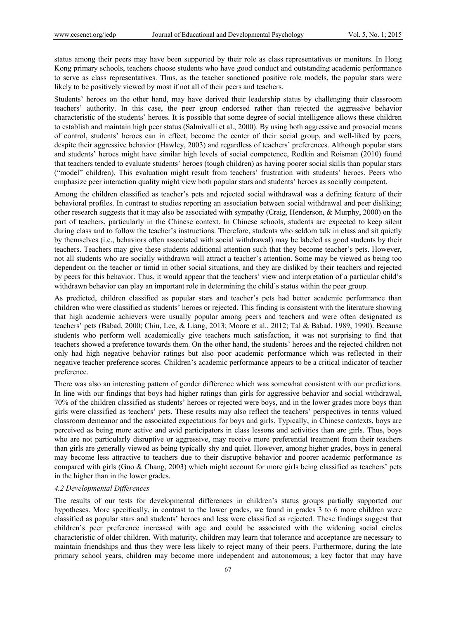status among their peers may have been supported by their role as class representatives or monitors. In Hong Kong primary schools, teachers choose students who have good conduct and outstanding academic performance to serve as class representatives. Thus, as the teacher sanctioned positive role models, the popular stars were likely to be positively viewed by most if not all of their peers and teachers.

Students' heroes on the other hand, may have derived their leadership status by challenging their classroom teachers' authority. In this case, the peer group endorsed rather than rejected the aggressive behavior characteristic of the students' heroes. It is possible that some degree of social intelligence allows these children to establish and maintain high peer status (Salmivalli et al., 2000). By using both aggressive and prosocial means of control, students' heroes can in effect, become the center of their social group, and well-liked by peers, despite their aggressive behavior (Hawley, 2003) and regardless of teachers' preferences. Although popular stars and students' heroes might have similar high levels of social competence, Rodkin and Roisman (2010) found that teachers tended to evaluate students' heroes (tough children) as having poorer social skills than popular stars ("model" children). This evaluation might result from teachers' frustration with students' heroes. Peers who emphasize peer interaction quality might view both popular stars and students' heroes as socially competent.

Among the children classified as teacher's pets and rejected social withdrawal was a defining feature of their behavioral profiles. In contrast to studies reporting an association between social withdrawal and peer disliking; other research suggests that it may also be associated with sympathy (Craig, Henderson, & Murphy, 2000) on the part of teachers, particularly in the Chinese context. In Chinese schools, students are expected to keep silent during class and to follow the teacher's instructions. Therefore, students who seldom talk in class and sit quietly by themselves (i.e., behaviors often associated with social withdrawal) may be labeled as good students by their teachers. Teachers may give these students additional attention such that they become teacher's pets. However, not all students who are socially withdrawn will attract a teacher's attention. Some may be viewed as being too dependent on the teacher or timid in other social situations, and they are disliked by their teachers and rejected by peers for this behavior. Thus, it would appear that the teachers' view and interpretation of a particular child's withdrawn behavior can play an important role in determining the child's status within the peer group.

As predicted, children classified as popular stars and teacher's pets had better academic performance than children who were classified as students' heroes or rejected. This finding is consistent with the literature showing that high academic achievers were usually popular among peers and teachers and were often designated as teachers' pets (Babad, 2000; Chiu, Lee, & Liang, 2013; Moore et al., 2012; Tal & Babad, 1989, 1990). Because students who perform well academically give teachers much satisfaction, it was not surprising to find that teachers showed a preference towards them. On the other hand, the students' heroes and the rejected children not only had high negative behavior ratings but also poor academic performance which was reflected in their negative teacher preference scores. Children's academic performance appears to be a critical indicator of teacher preference.

There was also an interesting pattern of gender difference which was somewhat consistent with our predictions. In line with our findings that boys had higher ratings than girls for aggressive behavior and social withdrawal, 70% of the children classified as students' heroes or rejected were boys, and in the lower grades more boys than girls were classified as teachers' pets. These results may also reflect the teachers' perspectives in terms valued classroom demeanor and the associated expectations for boys and girls. Typically, in Chinese contexts, boys are perceived as being more active and avid participators in class lessons and activities than are girls. Thus, boys who are not particularly disruptive or aggressive, may receive more preferential treatment from their teachers than girls are generally viewed as being typically shy and quiet. However, among higher grades, boys in general may become less attractive to teachers due to their disruptive behavior and poorer academic performance as compared with girls (Guo & Chang, 2003) which might account for more girls being classified as teachers' pets in the higher than in the lower grades.

## *4.2 Developmental Differences*

The results of our tests for developmental differences in children's status groups partially supported our hypotheses. More specifically, in contrast to the lower grades, we found in grades 3 to 6 more children were classified as popular stars and students' heroes and less were classified as rejected. These findings suggest that children's peer preference increased with age and could be associated with the widening social circles characteristic of older children. With maturity, children may learn that tolerance and acceptance are necessary to maintain friendships and thus they were less likely to reject many of their peers. Furthermore, during the late primary school years, children may become more independent and autonomous; a key factor that may have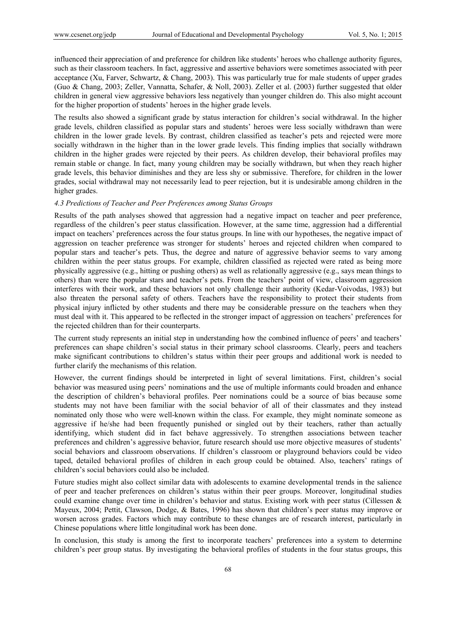influenced their appreciation of and preference for children like students' heroes who challenge authority figures, such as their classroom teachers. In fact, aggressive and assertive behaviors were sometimes associated with peer acceptance (Xu, Farver, Schwartz, & Chang, 2003). This was particularly true for male students of upper grades (Guo & Chang, 2003; Zeller, Vannatta, Schafer, & Noll, 2003). Zeller et al. (2003) further suggested that older children in general view aggressive behaviors less negatively than younger children do. This also might account for the higher proportion of students' heroes in the higher grade levels.

The results also showed a significant grade by status interaction for children's social withdrawal. In the higher grade levels, children classified as popular stars and students' heroes were less socially withdrawn than were children in the lower grade levels. By contrast, children classified as teacher's pets and rejected were more socially withdrawn in the higher than in the lower grade levels. This finding implies that socially withdrawn children in the higher grades were rejected by their peers. As children develop, their behavioral profiles may remain stable or change. In fact, many young children may be socially withdrawn, but when they reach higher grade levels, this behavior diminishes and they are less shy or submissive. Therefore, for children in the lower grades, social withdrawal may not necessarily lead to peer rejection, but it is undesirable among children in the higher grades.

#### *4.3 Predictions of Teacher and Peer Preferences among Status Groups*

Results of the path analyses showed that aggression had a negative impact on teacher and peer preference, regardless of the children's peer status classification. However, at the same time, aggression had a differential impact on teachers' preferences across the four status groups. In line with our hypotheses, the negative impact of aggression on teacher preference was stronger for students' heroes and rejected children when compared to popular stars and teacher's pets. Thus, the degree and nature of aggressive behavior seems to vary among children within the peer status groups. For example, children classified as rejected were rated as being more physically aggressive (e.g., hitting or pushing others) as well as relationally aggressive (e.g., says mean things to others) than were the popular stars and teacher's pets. From the teachers' point of view, classroom aggression interferes with their work, and these behaviors not only challenge their authority (Kedar-Voivodas, 1983) but also threaten the personal safety of others. Teachers have the responsibility to protect their students from physical injury inflicted by other students and there may be considerable pressure on the teachers when they must deal with it. This appeared to be reflected in the stronger impact of aggression on teachers' preferences for the rejected children than for their counterparts.

The current study represents an initial step in understanding how the combined influence of peers' and teachers' preferences can shape children's social status in their primary school classrooms. Clearly, peers and teachers make significant contributions to children's status within their peer groups and additional work is needed to further clarify the mechanisms of this relation.

However, the current findings should be interpreted in light of several limitations. First, children's social behavior was measured using peers' nominations and the use of multiple informants could broaden and enhance the description of children's behavioral profiles. Peer nominations could be a source of bias because some students may not have been familiar with the social behavior of all of their classmates and they instead nominated only those who were well-known within the class. For example, they might nominate someone as aggressive if he/she had been frequently punished or singled out by their teachers, rather than actually identifying, which student did in fact behave aggressively. To strengthen associations between teacher preferences and children's aggressive behavior, future research should use more objective measures of students' social behaviors and classroom observations. If children's classroom or playground behaviors could be video taped, detailed behavioral profiles of children in each group could be obtained. Also, teachers' ratings of children's social behaviors could also be included.

Future studies might also collect similar data with adolescents to examine developmental trends in the salience of peer and teacher preferences on children's status within their peer groups. Moreover, longitudinal studies could examine change over time in children's behavior and status. Existing work with peer status (Cillessen & Mayeux, 2004; Pettit, Clawson, Dodge, & Bates, 1996) has shown that children's peer status may improve or worsen across grades. Factors which may contribute to these changes are of research interest, particularly in Chinese populations where little longitudinal work has been done.

In conclusion, this study is among the first to incorporate teachers' preferences into a system to determine children's peer group status. By investigating the behavioral profiles of students in the four status groups, this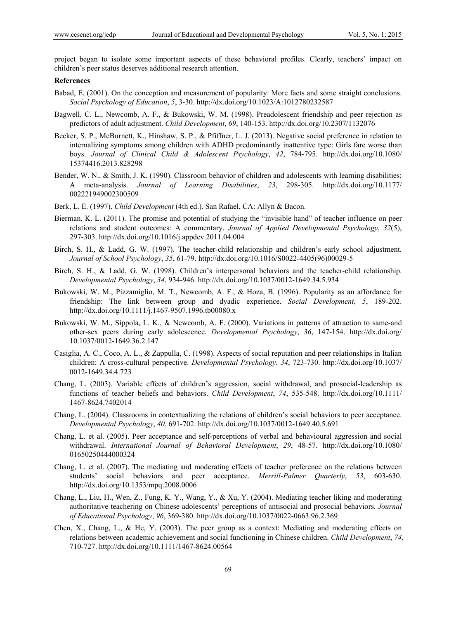project began to isolate some important aspects of these behavioral profiles. Clearly, teachers' impact on children's peer status deserves additional research attention.

### **References**

- Babad, E. (2001). On the conception and measurement of popularity: More facts and some straight conclusions. *Social Psychology of Education*, *5*, 3-30. http://dx.doi.org/10.1023/A:1012780232587
- Bagwell, C. L., Newcomb, A. F., & Bukowski, W. M. (1998). Preadolescent friendship and peer rejection as predictors of adult adjustment. *Child Development*, *69*, 140-153. http://dx.doi.org/10.2307/1132076
- Becker, S. P., McBurnett, K., Hinshaw, S. P., & Pfiffner, L. J. (2013). Negative social preference in relation to internalizing symptoms among children with ADHD predominantly inattentive type: Girls fare worse than boys. *Journal of Clinical Child & Adolescent Psychology*, *42*, 784-795. http://dx.doi.org/10.1080/ 15374416.2013.828298
- Bender, W. N., & Smith, J. K. (1990). Classroom behavior of children and adolescents with learning disabilities: A meta-analysis. *Journal of Learning Disabilities*, *23*, 298-305. http://dx.doi.org/10.1177/ 002221949002300509
- Berk, L. E. (1997). *Child Development* (4th ed.). San Rafael, CA: Allyn & Bacon.
- Bierman, K. L. (2011). The promise and potential of studying the "invisible hand" of teacher influence on peer relations and student outcomes: A commentary. *Journal of Applied Developmental Psychology*, *32*(5), 297-303. http://dx.doi.org/10.1016/j.appdev.2011.04.004
- Birch, S. H., & Ladd, G. W. (1997). The teacher-child relationship and children's early school adjustment. *Journal of School Psychology*, *35*, 61-79. http://dx.doi.org/10.1016/S0022-4405(96)00029-5
- Birch, S. H., & Ladd, G. W. (1998). Children's interpersonal behaviors and the teacher-child relationship. *Developmental Psychology*, *34*, 934-946. http://dx.doi.org/10.1037/0012-1649.34.5.934
- Bukowski, W. M., Pizzamiglio, M. T., Newcomb, A. F., & Hoza, B. (1996). Popularity as an affordance for friendship: The link between group and dyadic experience. *Social Development*, *5*, 189-202. http://dx.doi.org/10.1111/j.1467-9507.1996.tb00080.x
- Bukowski, W. M., Sippola, L. K., & Newcomb, A. F. (2000). Variations in patterns of attraction to same-and other-sex peers during early adolescence. *Developmental Psychology*, *36*, 147-154. http://dx.doi.org/ 10.1037/0012-1649.36.2.147
- Casiglia, A. C., Coco, A. L., & Zappulla, C. (1998). Aspects of social reputation and peer relationships in Italian children: A cross-cultural perspective. *Developmental Psychology*, *34*, 723-730. http://dx.doi.org/10.1037/ 0012-1649.34.4.723
- Chang, L. (2003). Variable effects of children's aggression, social withdrawal, and prosocial-leadership as functions of teacher beliefs and behaviors. *Child Development*, *74*, 535-548. http://dx.doi.org/10.1111/ 1467-8624.7402014
- Chang, L. (2004). Classrooms in contextualizing the relations of children's social behaviors to peer acceptance. *Developmental Psychology*, *40*, 691-702. http://dx.doi.org/10.1037/0012-1649.40.5.691
- Chang, L. et al. (2005). Peer acceptance and self-perceptions of verbal and behavioural aggression and social withdrawal. *International Journal of Behavioral Development*, *29*, 48-57. http://dx.doi.org/10.1080/ 01650250444000324
- Chang, L. et al. (2007). The mediating and moderating effects of teacher preference on the relations between students' social behaviors and peer acceptance. *Merrill-Palmer Quarterly*, *53*, 603-630. http://dx.doi.org/10.1353/mpq.2008.0006
- Chang, L., Liu, H., Wen, Z., Fung, K. Y., Wang, Y., & Xu, Y. (2004). Mediating teacher liking and moderating authoritative teachering on Chinese adolescents' perceptions of antisocial and prosocial behaviors. *Journal of Educational Psychology*, *96*, 369-380. http://dx.doi.org/10.1037/0022-0663.96.2.369
- Chen, X., Chang, L., & He, Y. (2003). The peer group as a context: Mediating and moderating effects on relations between academic achievement and social functioning in Chinese children. *Child Development*, *74*, 710-727. http://dx.doi.org/10.1111/1467-8624.00564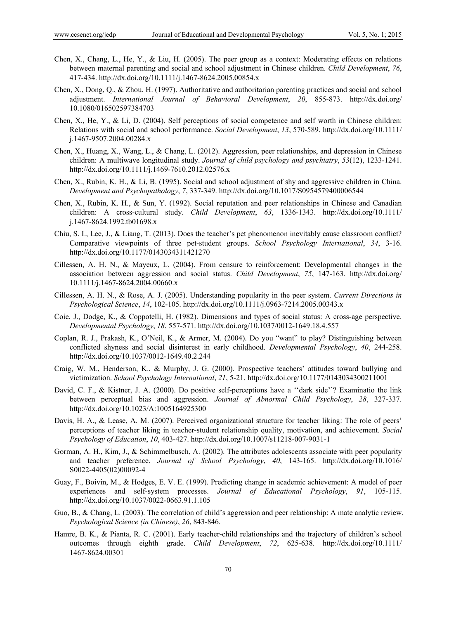- Chen, X., Chang, L., He, Y., & Liu, H. (2005). The peer group as a context: Moderating effects on relations between maternal parenting and social and school adjustment in Chinese children. *Child Development*, *76*, 417-434. http://dx.doi.org/10.1111/j.1467-8624.2005.00854.x
- Chen, X., Dong, Q., & Zhou, H. (1997). Authoritative and authoritarian parenting practices and social and school adjustment. *International Journal of Behavioral Development*, *20*, 855-873. http://dx.doi.org/ 10.1080/016502597384703
- Chen, X., He, Y., & Li, D. (2004). Self perceptions of social competence and self worth in Chinese children: Relations with social and school performance. *Social Development*, *13*, 570-589. http://dx.doi.org/10.1111/ j.1467-9507.2004.00284.x
- Chen, X., Huang, X., Wang, L., & Chang, L. (2012). Aggression, peer relationships, and depression in Chinese children: A multiwave longitudinal study. *Journal of child psychology and psychiatry*, *53*(12), 1233-1241. http://dx.doi.org/10.1111/j.1469-7610.2012.02576.x
- Chen, X., Rubin, K. H., & Li, B. (1995). Social and school adjustment of shy and aggressive children in China. *Development and Psychopathology*, *7*, 337-349. http://dx.doi.org/10.1017/S0954579400006544
- Chen, X., Rubin, K. H., & Sun, Y. (1992). Social reputation and peer relationships in Chinese and Canadian children: A cross-cultural study. *Child Development*, *63*, 1336-1343. http://dx.doi.org/10.1111/ j.1467-8624.1992.tb01698.x
- Chiu, S. I., Lee, J., & Liang, T. (2013). Does the teacher's pet phenomenon inevitably cause classroom conflict? Comparative viewpoints of three pet-student groups. *School Psychology International*, *34*, 3-16. http://dx.doi.org/10.1177/0143034311421270
- Cillessen, A. H. N., & Mayeux, L. (2004). From censure to reinforcement: Developmental changes in the association between aggression and social status. *Child Development*, *75*, 147-163. http://dx.doi.org/ 10.1111/j.1467-8624.2004.00660.x
- Cillessen, A. H. N., & Rose, A. J. (2005). Understanding popularity in the peer system. *Current Directions in Psychological Science*, *14*, 102-105. http://dx.doi.org/10.1111/j.0963-7214.2005.00343.x
- Coie, J., Dodge, K., & Coppotelli, H. (1982). Dimensions and types of social status: A cross-age perspective. *Developmental Psychology*, *18*, 557-571. http://dx.doi.org/10.1037/0012-1649.18.4.557
- Coplan, R. J., Prakash, K., O'Neil, K., & Armer, M. (2004). Do you "want" to play? Distinguishing between conflicted shyness and social disinterest in early childhood. *Developmental Psychology*, *40*, 244-258. http://dx.doi.org/10.1037/0012-1649.40.2.244
- Craig, W. M., Henderson, K., & Murphy, J. G. (2000). Prospective teachers' attitudes toward bullying and victimization. *School Psychology International*, *21*, 5-21. http://dx.doi.org/10.1177/0143034300211001
- David, C. F., & Kistner, J. A. (2000). Do positive self-perceptions have a ''dark side''? Examinatio the link between perceptual bias and aggression. *Journal of Abnormal Child Psychology*, *28*, 327-337. http://dx.doi.org/10.1023/A:1005164925300
- Davis, H. A., & Lease, A. M. (2007). Perceived organizational structure for teacher liking: The role of peers' perceptions of teacher liking in teacher-student relationship quality, motivation, and achievement. *Social Psychology of Education*, *10*, 403-427. http://dx.doi.org/10.1007/s11218-007-9031-1
- Gorman, A. H., Kim, J., & Schimmelbusch, A. (2002). The attributes adolescents associate with peer popularity and teacher preference. *Journal of School Psychology*, *40*, 143-165. http://dx.doi.org/10.1016/ S0022-4405(02)00092-4
- Guay, F., Boivin, M., & Hodges, E. V. E. (1999). Predicting change in academic achievement: A model of peer experiences and self-system processes. *Journal of Educational Psychology*, *91*, 105-115. http://dx.doi.org/10.1037/0022-0663.91.1.105
- Guo, B., & Chang, L. (2003). The correlation of child's aggression and peer relationship: A mate analytic review. *Psychological Science (in Chinese)*, *26*, 843-846.
- Hamre, B. K., & Pianta, R. C. (2001). Early teacher-child relationships and the trajectory of children's school outcomes through eighth grade. *Child Development*, *72*, 625-638. http://dx.doi.org/10.1111/ 1467-8624.00301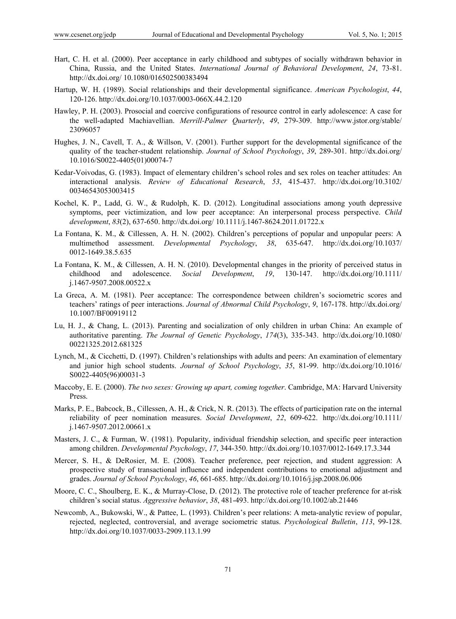- Hart, C. H. et al. (2000). Peer acceptance in early childhood and subtypes of socially withdrawn behavior in China, Russia, and the United States. *International Journal of Behavioral Development*, *24*, 73-81. http://dx.doi.org/ 10.1080/016502500383494
- Hartup, W. H. (1989). Social relationships and their developmental significance. *American Psychologist*, *44*, 120-126. http://dx.doi.org/10.1037/0003-066X.44.2.120
- Hawley, P. H. (2003). Prosocial and coercive configurations of resource control in early adolescence: A case for the well-adapted Machiavellian. *Merrill-Palmer Quarterly*, *49*, 279-309. http://www.jstor.org/stable/ 23096057
- Hughes, J. N., Cavell, T. A., & Willson, V. (2001). Further support for the developmental significance of the quality of the teacher-student relationship. *Journal of School Psychology*, *39*, 289-301. http://dx.doi.org/ 10.1016/S0022-4405(01)00074-7
- Kedar-Voivodas, G. (1983). Impact of elementary children's school roles and sex roles on teacher attitudes: An interactional analysis. *Review of Educational Research*, *53*, 415-437. http://dx.doi.org/10.3102/ 00346543053003415
- Kochel, K. P., Ladd, G. W., & Rudolph, K. D. (2012). Longitudinal associations among youth depressive symptoms, peer victimization, and low peer acceptance: An interpersonal process perspective. *Child development*, *83*(2), 637-650. http://dx.doi.org/ 10.1111/j.1467-8624.2011.01722.x
- La Fontana, K. M., & Cillessen, A. H. N. (2002). Children's perceptions of popular and unpopular peers: A multimethod assessment. *Developmental Psychology*, *38*, 635-647. http://dx.doi.org/10.1037/ 0012-1649.38.5.635
- La Fontana, K. M., & Cillessen, A. H. N. (2010). Developmental changes in the priority of perceived status in childhood and adolescence. *Social Development*, *19*, 130-147. http://dx.doi.org/10.1111/ j.1467-9507.2008.00522.x
- La Greca, A. M. (1981). Peer acceptance: The correspondence between children's sociometric scores and teachers' ratings of peer interactions. *Journal of Abnormal Child Psychology*, *9*, 167-178. http://dx.doi.org/ 10.1007/BF00919112
- Lu, H. J., & Chang, L. (2013). Parenting and socialization of only children in urban China: An example of authoritative parenting. *The Journal of Genetic Psychology*, *174*(3), 335-343. http://dx.doi.org/10.1080/ 00221325.2012.681325
- Lynch, M., & Cicchetti, D. (1997). Children's relationships with adults and peers: An examination of elementary and junior high school students. *Journal of School Psychology*, *35*, 81-99. http://dx.doi.org/10.1016/ S0022-4405(96)00031-3
- Maccoby, E. E. (2000). *The two sexes: Growing up apart, coming together*. Cambridge, MA: Harvard University Press.
- Marks, P. E., Babcock, B., Cillessen, A. H., & Crick, N. R. (2013). The effects of participation rate on the internal reliability of peer nomination measures. *Social Development*, *22*, 609-622. http://dx.doi.org/10.1111/ j.1467-9507.2012.00661.x
- Masters, J. C., & Furman, W. (1981). Popularity, individual friendship selection, and specific peer interaction among children. *Developmental Psychology*, *17*, 344-350. http://dx.doi.org/10.1037/0012-1649.17.3.344
- Mercer, S. H., & DeRosier, M. E. (2008). Teacher preference, peer rejection, and student aggression: A prospective study of transactional influence and independent contributions to emotional adjustment and grades. *Journal of School Psychology*, *46*, 661-685. http://dx.doi.org/10.1016/j.jsp.2008.06.006
- Moore, C. C., Shoulberg, E. K., & Murray-Close, D. (2012). The protective role of teacher preference for at-risk children's social status. *Aggressive behavior*, *38*, 481-493. http://dx.doi.org/10.1002/ab.21446
- Newcomb, A., Bukowski, W., & Pattee, L. (1993). Children's peer relations: A meta-analytic review of popular, rejected, neglected, controversial, and average sociometric status. *Psychological Bulletin*, *113*, 99-128. http://dx.doi.org/10.1037/0033-2909.113.1.99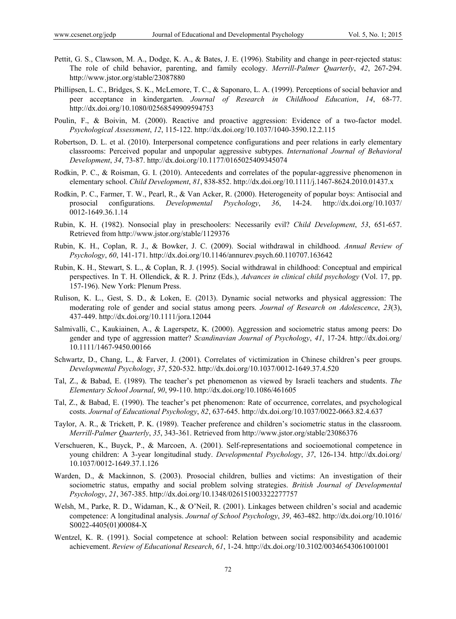- Pettit, G. S., Clawson, M. A., Dodge, K. A., & Bates, J. E. (1996). Stability and change in peer-rejected status: The role of child behavior, parenting, and family ecology. *Merrill-Palmer Quarterly*, *42*, 267-294. http://www.jstor.org/stable/23087880
- Phillipsen, L. C., Bridges, S. K., McLemore, T. C., & Saponaro, L. A. (1999). Perceptions of social behavior and peer acceptance in kindergarten. *Journal of Research in Childhood Education*, *14*, 68-77. http://dx.doi.org/10.1080/02568549909594753
- Poulin, F., & Boivin, M. (2000). Reactive and proactive aggression: Evidence of a two-factor model. *Psychological Assessment*, *12*, 115-122. http://dx.doi.org/10.1037/1040-3590.12.2.115
- Robertson, D. L. et al. (2010). Interpersonal competence configurations and peer relations in early elementary classrooms: Perceived popular and unpopular aggressive subtypes. *International Journal of Behavioral Development*, *34*, 73-87. http://dx.doi.org/10.1177/0165025409345074
- Rodkin, P. C., & Roisman, G. I. (2010). Antecedents and correlates of the popular-aggressive phenomenon in elementary school. *Child Development*, *81*, 838-852. http://dx.doi.org/10.1111/j.1467-8624.2010.01437.x
- Rodkin, P. C., Farmer, T. W., Pearl, R., & Van Acker, R. (2000). Heterogeneity of popular boys: Antisocial and prosocial configurations. *Developmental Psychology*, *36*, 14-24. http://dx.doi.org/10.1037/ 0012-1649.36.1.14
- Rubin, K. H. (1982). Nonsocial play in preschoolers: Necessarily evil? *Child Development*, *53*, 651-657. Retrieved from http://www.jstor.org/stable/1129376
- Rubin, K. H., Coplan, R. J., & Bowker, J. C. (2009). Social withdrawal in childhood. *Annual Review of Psychology*, *60*, 141-171. http://dx.doi.org/10.1146/annurev.psych.60.110707.163642
- Rubin, K. H., Stewart, S. L., & Coplan, R. J. (1995). Social withdrawal in childhood: Conceptual and empirical perspectives. In T. H. Ollendick, & R. J. Prinz (Eds.), *Advances in clinical child psychology* (Vol. 17, pp. 157-196). New York: Plenum Press.
- Rulison, K. L., Gest, S. D., & Loken, E. (2013). Dynamic social networks and physical aggression: The moderating role of gender and social status among peers. *Journal of Research on Adolescence*, *23*(3), 437-449. http://dx.doi.org/10.1111/jora.12044
- Salmivalli, C., Kaukiainen, A., & Lagerspetz, K. (2000). Aggression and sociometric status among peers: Do gender and type of aggression matter? *Scandinavian Journal of Psychology*, *41*, 17-24. http://dx.doi.org/ 10.1111/1467-9450.00166
- Schwartz, D., Chang, L., & Farver, J. (2001). Correlates of victimization in Chinese children's peer groups. *Developmental Psychology*, *37*, 520-532. http://dx.doi.org/10.1037/0012-1649.37.4.520
- Tal, Z., & Babad, E. (1989). The teacher's pet phenomenon as viewed by Israeli teachers and students. *The Elementary School Journal*, *90*, 99-110. http://dx.doi.org/10.1086/461605
- Tal, Z., & Babad, E. (1990). The teacher's pet phenomenon: Rate of occurrence, correlates, and psychological costs. *Journal of Educational Psychology*, *82*, 637-645. http://dx.doi.org/10.1037/0022-0663.82.4.637
- Taylor, A. R., & Trickett, P. K. (1989). Teacher preference and children's sociometric status in the classroom. *Merrill-Palmer Quarterly*, *35*, 343-361. Retrieved from http://www.jstor.org/stable/23086376
- Verschueren, K., Buyck, P., & Marcoen, A. (2001). Self-representations and socioemotional competence in young children: A 3-year longitudinal study. *Developmental Psychology*, *37*, 126-134. http://dx.doi.org/ 10.1037/0012-1649.37.1.126
- Warden, D., & Mackinnon, S. (2003). Prosocial children, bullies and victims: An investigation of their sociometric status, empathy and social problem solving strategies. *British Journal of Developmental Psychology*, *21*, 367-385. http://dx.doi.org/10.1348/026151003322277757
- Welsh, M., Parke, R. D., Widaman, K., & O'Neil, R. (2001). Linkages between children's social and academic competence: A longitudinal analysis. *Journal of School Psychology*, *39*, 463-482. http://dx.doi.org/10.1016/ S0022-4405(01)00084-X
- Wentzel, K. R. (1991). Social competence at school: Relation between social responsibility and academic achievement. *Review of Educational Research*, *61*, 1-24. http://dx.doi.org/10.3102/00346543061001001